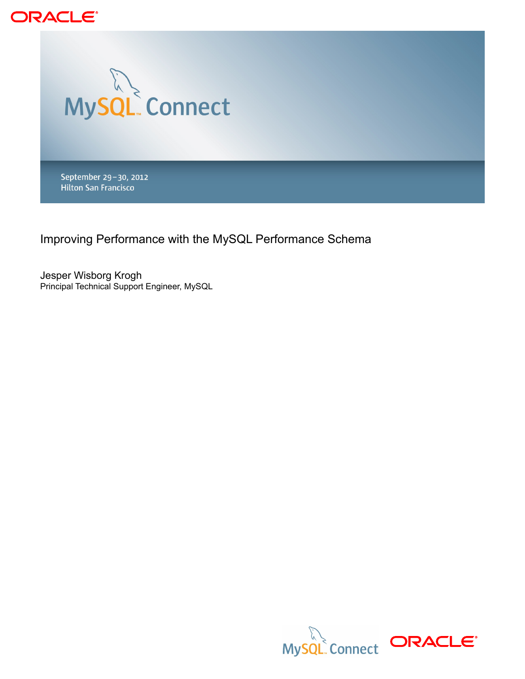



September 29-30, 2012 **Hilton San Francisco** 

Improving Performance with the MySQL Performance Schema

Jesper Wisborg Krogh Principal Technical Support Engineer, MySQL

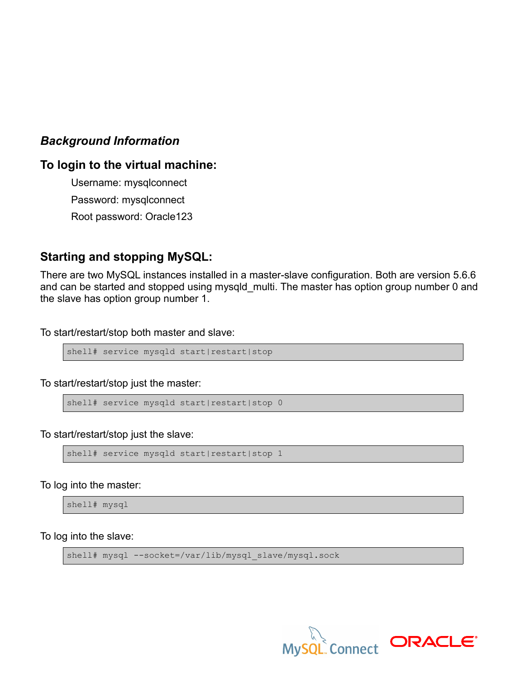## *Background Information*

## **To login to the virtual machine:**

Username: mysqlconnect Password: mysqlconnect Root password: Oracle123

## **Starting and stopping MySQL:**

There are two MySQL instances installed in a master-slave configuration. Both are version 5.6.6 and can be started and stopped using mysqld multi. The master has option group number 0 and the slave has option group number 1.

To start/restart/stop both master and slave:

shell# service mysqld start|restart|stop

To start/restart/stop just the master:

```
shell# service mysqld start|restart|stop 0
```
To start/restart/stop just the slave:

```
shell# service mysqld start|restart|stop 1
```
To log into the master:

shell# mysql

To log into the slave:

shell# mysql --socket=/var/lib/mysql\_slave/mysql.sock

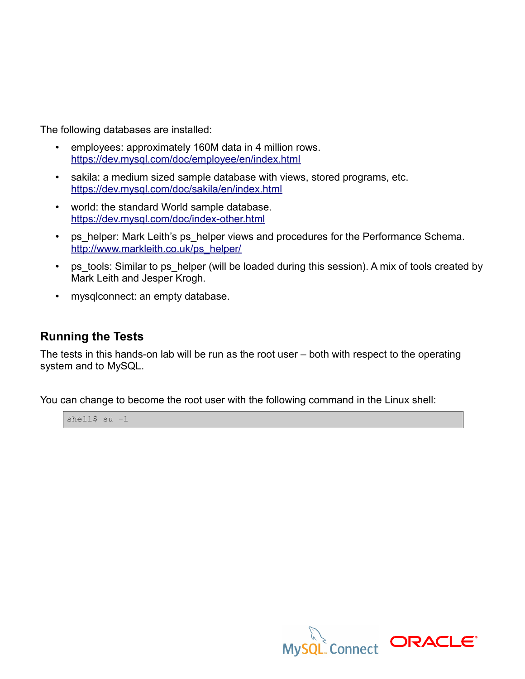The following databases are installed:

- employees: approximately 160M data in 4 million rows. <https://dev.mysql.com/doc/employee/en/index.html>
- sakila: a medium sized sample database with views, stored programs, etc. <https://dev.mysql.com/doc/sakila/en/index.html>
- world: the standard World sample database. <https://dev.mysql.com/doc/index-other.html>
- ps\_helper: Mark Leith's ps\_helper views and procedures for the Performance Schema. [http://www.markleith.co.uk/ps\\_helper/](http://www.markleith.co.uk/ps_helper/)
- ps\_tools: Similar to ps\_helper (will be loaded during this session). A mix of tools created by Mark Leith and Jesper Krogh.
- mysqlconnect: an empty database.

## **Running the Tests**

The tests in this hands-on lab will be run as the root user – both with respect to the operating system and to MySQL.

You can change to become the root user with the following command in the Linux shell:



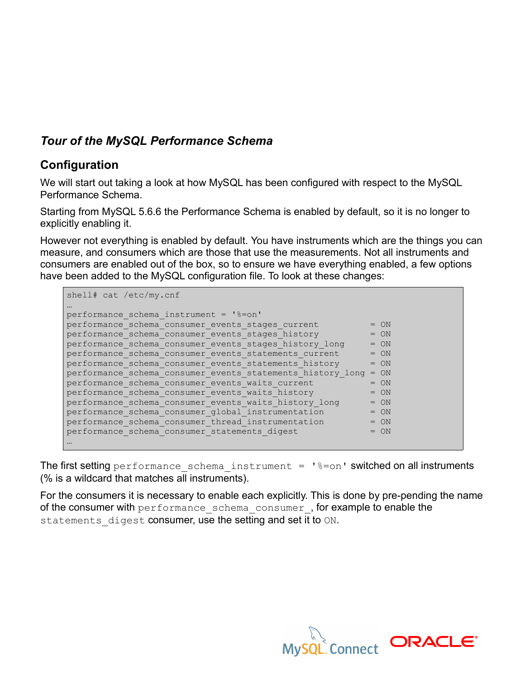# *Tour of the MySQL Performance Schema*

## **Configuration**

We will start out taking a look at how MySQL has been configured with respect to the MySQL Performance Schema.

Starting from MySQL 5.6.6 the Performance Schema is enabled by default, so it is no longer to explicitly enabling it.

However not everything is enabled by default. You have instruments which are the things you can measure, and consumers which are those that use the measurements. Not all instruments and consumers are enabled out of the box, so to ensure we have everything enabled, a few options have been added to the MySQL configuration file. To look at these changes:

```
shell# cat /etc/my.cnf
…
performance_schema_instrument = '%=on'
performance_schema_consumer_events_stages_current = ON
performance_schema_consumer_events_stages_history = ON
performance_schema_consumer_events_stages_history_long = ON
performance schema consumer events statements current = ON
performance schema consumer events statements history = ON
performance schema consumer events statements history long = ON
performance schema consumer events waits current = 0N
performance schema consumer events waits history = 0N
performance_schema_consumer_events_waits_history_long = ON
performance_schema_consumer_global_instrumentation = ON
performance_schema_consumer_thread_instrumentation = ON
performance schema consumer statements digest = ON…
```
The first setting performance schema instrument =  $\frac{1}{6}$ =on' switched on all instruments (% is a wildcard that matches all instruments).

For the consumers it is necessary to enable each explicitly. This is done by pre-pending the name of the consumer with performance schema consumer, for example to enable the statements digest consumer, use the setting and set it to ON.

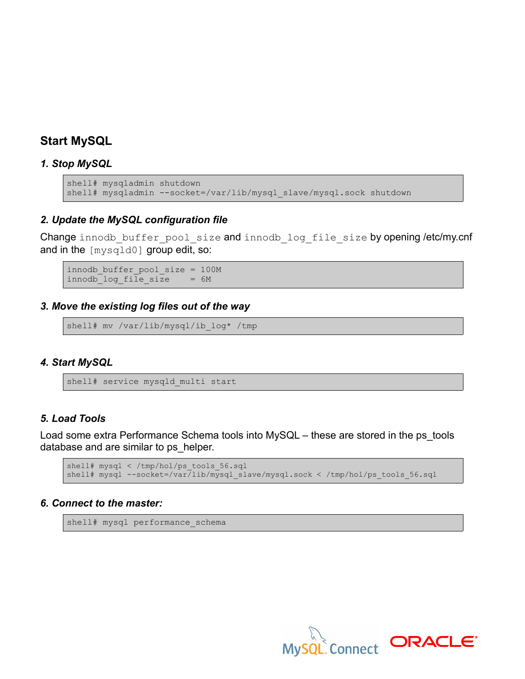## **Start MySQL**

### *1. Stop MySQL*

```
shell# mysqladmin shutdown
shell# mysqladmin --socket=/var/lib/mysql_slave/mysql.sock shutdown
```
### *2. Update the MySQL configuration file*

Change innodb buffer pool size and innodb log file size by opening /etc/my.cnf and in the [mysqld0] group edit, so:

innodb\_buffer\_pool\_size = 100M  $innodb$  log file size = 6M

### *3. Move the existing log files out of the way*

shell# mv /var/lib/mysql/ib log\* /tmp

### *4. Start MySQL*

shell# service mysqld\_multi start

### *5. Load Tools*

Load some extra Performance Schema tools into MySQL – these are stored in the ps\_tools database and are similar to ps\_helper.

```
shell# mysql < /tmp/hol/ps tools 56.sql
shell# mysql --socket=/var/lib/mysql_slave/mysql.sock < /tmp/hol/ps_tools_56.sql
```
#### *6. Connect to the master:*

```
shell# mysql performance_schema
```
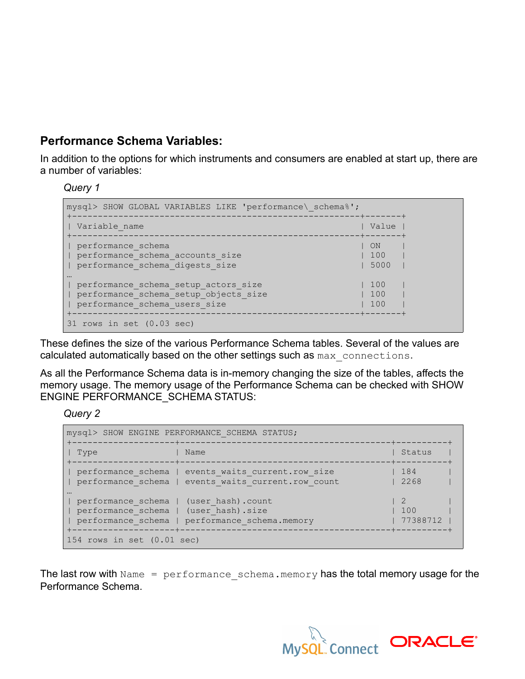# **Performance Schema Variables:**

In addition to the options for which instruments and consumers are enabled at start up, there are a number of variables:

*Query 1*

| mysql> SHOW GLOBAL VARIABLES LIKE 'performance\ schema%';                                                      |                     |  |
|----------------------------------------------------------------------------------------------------------------|---------------------|--|
| Variable name                                                                                                  | Value<br>-+-------+ |  |
| performance schema<br>performance schema accounts size<br>performance schema digests size                      | ON<br>100<br>5000   |  |
| performance schema setup actors size<br>performance schema setup objects size<br>performance schema users size | 100<br>100<br>100   |  |
| 31 rows in set (0.03 sec)                                                                                      |                     |  |

These defines the size of the various Performance Schema tables. Several of the values are calculated automatically based on the other settings such as max connections.

As all the Performance Schema data is in-memory changing the size of the tables, affects the memory usage. The memory usage of the Performance Schema can be checked with SHOW ENGINE PERFORMANCE\_SCHEMA STATUS:

*Query 2*

|                                                                                 | mysql> SHOW ENGINE PERFORMANCE SCHEMA STATUS;<br>--------------+---------                                 |                                                                        |
|---------------------------------------------------------------------------------|-----------------------------------------------------------------------------------------------------------|------------------------------------------------------------------------|
| Type<br>----------<br>------------+-----                                        | Name                                                                                                      | Status<br>-----+---------                                              |
|                                                                                 | performance schema   events waits current.row size<br>performance schema   events waits current.row count | 184<br>  2268                                                          |
| performance schema   (user hash).count<br>performance schema   (user hash).size | performance schema   performance schema.memory                                                            | $\begin{array}{cc} \text{1} & \text{2} \end{array}$<br>100<br>77388712 |
| --------------------+-<br>154 rows in set $(0.01 \text{ sec})$                  |                                                                                                           |                                                                        |

The last row with  $Name = performance scheme.$  memory has the total memory usage for the Performance Schema.

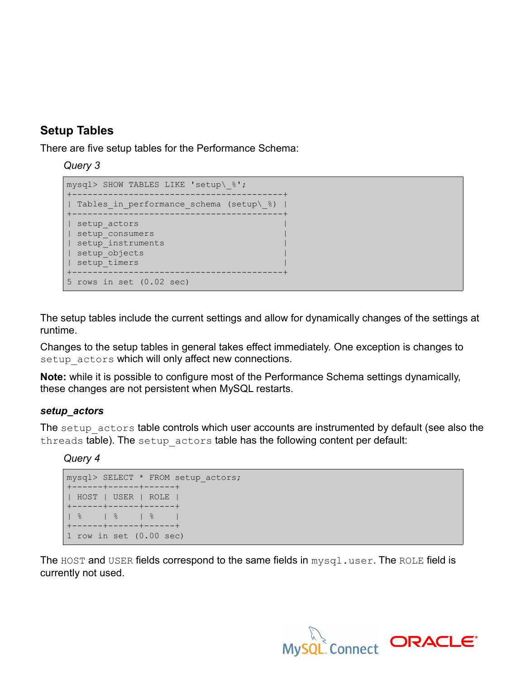# **Setup Tables**

There are five setup tables for the Performance Schema:

*Query 3*

```
mysql> SHOW TABLES LIKE 'setup\_%';
+-----------------------------------------+
| Tables in performance schema (setup\ %) |
+-----------------------------------------+
| setup_actors |
| setup_consumers |
| setup_instruments |
| setup_objects |
| setup timers
+-----------------------------------------+
5 rows in set (0.02 sec)
```
The setup tables include the current settings and allow for dynamically changes of the settings at runtime.

Changes to the setup tables in general takes effect immediately. One exception is changes to setup actors which will only affect new connections.

**Note:** while it is possible to configure most of the Performance Schema settings dynamically, these changes are not persistent when MySQL restarts.

## *setup\_actors*

The setup actors table controls which user accounts are instrumented by default (see also the threads table). The setup actors table has the following content per default:

*Query 4*

```
mysql> SELECT * FROM setup_actors;
+------+------+------+
| HOST | USER | ROLE |
+------+------+------+
| % | % | % |
+------+------+------+
1 row in set (0.00 sec)
```
The HOST and USER fields correspond to the same fields in  $mysql$ .user. The ROLE field is currently not used.

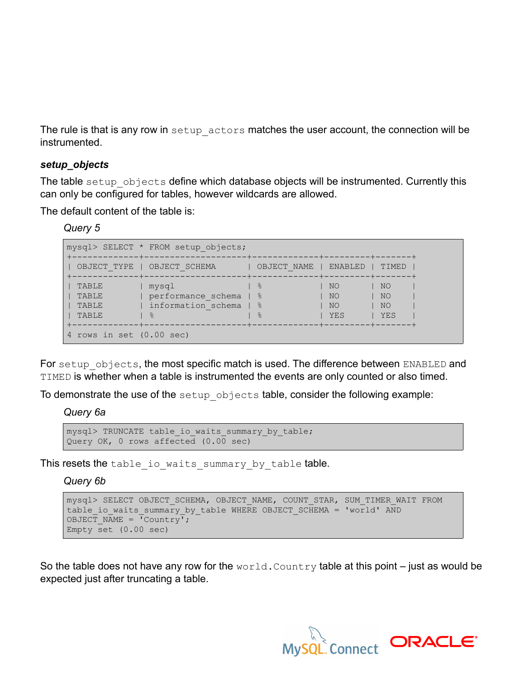The rule is that is any row in setup actors matches the user account, the connection will be instrumented.

### *setup\_objects*

The table setup objects define which database objects will be instrumented. Currently this can only be configured for tables, however wildcards are allowed.

The default content of the table is:

| Query 5 |  |
|---------|--|
|---------|--|

|                                  | mysql> SELECT * FROM setup objects;                                |                                 |                          |                       |
|----------------------------------|--------------------------------------------------------------------|---------------------------------|--------------------------|-----------------------|
| OBJECT TYPE                      | OBJECT SCHEMA                                                      | OBJECT NAME                     | ENABLED                  | TIMED                 |
| TABLE<br>TABLE<br>TABLE<br>TABLE | mysql<br>performance schema<br>information schema   %<br>$\approx$ | - %<br>$ $ $ $ $ $<br>$\approx$ | NO.<br>NO.<br>NO.<br>YES | NO<br>NO<br>NO<br>YES |
| 4 rows in set (0.00 sec)         |                                                                    |                                 |                          |                       |

For setup objects, the most specific match is used. The difference between ENABLED and TIMED is whether when a table is instrumented the events are only counted or also timed.

To demonstrate the use of the setup objects table, consider the following example:

*Query 6a*

```
mysql> TRUNCATE table io waits summary by table;
Query OK, 0 rows affected (0.00 \text{ sec})
```
This resets the table\_io\_waits\_summary\_by\_table table.

*Query 6b*

```
mysql> SELECT OBJECT SCHEMA, OBJECT NAME, COUNT STAR, SUM TIMER WAIT FROM
table io waits summary by table WHERE OBJECT SCHEMA = 'world' AND
OBJECT NAME = \overline{C}Country';
Empty set (0.00 \text{ sec})
```
So the table does not have any row for the  $world.Country$  table at this point – just as would be expected just after truncating a table.

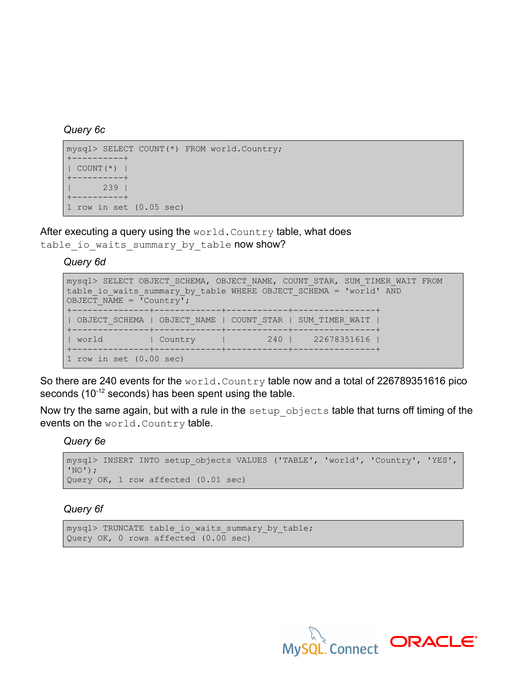### *Query 6c*

```
mysql> SELECT COUNT(*) FROM world.Country;
+----------+
| COUNT(*) |
+----------+
| 239 |
+----------+
1 row in set (0.05 sec)
```
After executing a query using the  $world.Country$  table, what does table io waits summary by table now show?

*Query 6d*

```
mysql> SELECT OBJECT SCHEMA, OBJECT NAME, COUNT STAR, SUM TIMER WAIT FROM
table io waits summary by table WHERE OBJECT SCHEMA = 'world' AND
OBJECT NAME = \overline{C}Country';
+---------------+-------------+------------+----------------+
| OBJECT_SCHEMA | OBJECT_NAME | COUNT_STAR | SUM_TIMER_WAIT |
+---------------+-------------+------------+----------------+
| world | Country | 240 | 22678351616 |
               +---------------+-------------+------------+----------------+
1 row in set (0.00 sec)
```
So there are 240 events for the world. Country table now and a total of 226789351616 pico seconds (10<sup>-12</sup> seconds) has been spent using the table.

Now try the same again, but with a rule in the setup objects table that turns off timing of the events on the world. Country table.

*Query 6e*

```
mysql> INSERT INTO setup_objects VALUES ('TABLE', 'world', 'Country', 'YES',
'NO');
Query OK, 1 row affected (0.01 sec)
```
## *Query 6f*

```
mysql> TRUNCATE table io waits summary by table;
Query OK, 0 rows affected (0.00 sec)
```
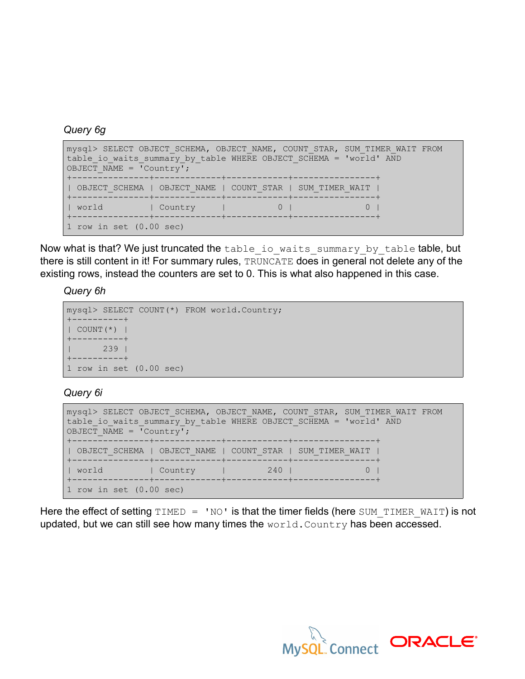## *Query 6g*

```
mysql> SELECT OBJECT SCHEMA, OBJECT NAME, COUNT STAR, SUM TIMER WAIT FROM
table io waits summary by table WHERE OBJECT SCHEMA = 'world' AND
OBJECT_NAME = 'Country';
+---------------+-------------+------------+----------------+
| OBJECT_SCHEMA | OBJECT_NAME | COUNT_STAR | SUM_TIMER_WAIT |
+---------------+-------------+------------+----------------+
| world | Country | 0 | 0 |
+---------------+-------------+------------+----------------+
1 row in set (0.00 sec)
```
Now what is that? We just truncated the table io waits summary by table table, but there is still content in it! For summary rules, TRUNCATE does in general not delete any of the existing rows, instead the counters are set to 0. This is what also happened in this case.

*Query 6h*

```
mysql> SELECT COUNT(*) FROM world.Country;
+----------+
| COUNT(*) |
+----------+
| 239 |
+----------+
1 row in set (0.00 sec)
```
*Query 6i*

```
mysql> SELECT OBJECT SCHEMA, OBJECT NAME, COUNT STAR, SUM TIMER WAIT FROM
table_io_waits_summary_by_table WHERE OBJECT SCHEMA = 'world' AND
OBJECT_NAME = \overline{C}Country';
                               +---------------+-------------+------------+----------------+
| OBJECT_SCHEMA | OBJECT_NAME | COUNT_STAR | SUM_TIMER_WAIT |
+---------------+-------------+------------+----------------+
| world | Country | 240 | 0 |
+---------------+-------------+------------+----------------+
1 row in set (0.00 sec)
```
Here the effect of setting TIMED = 'NO' is that the timer fields (here SUM\_TIMER\_WAIT) is not updated, but we can still see how many times the  $world.Country$  has been accessed.

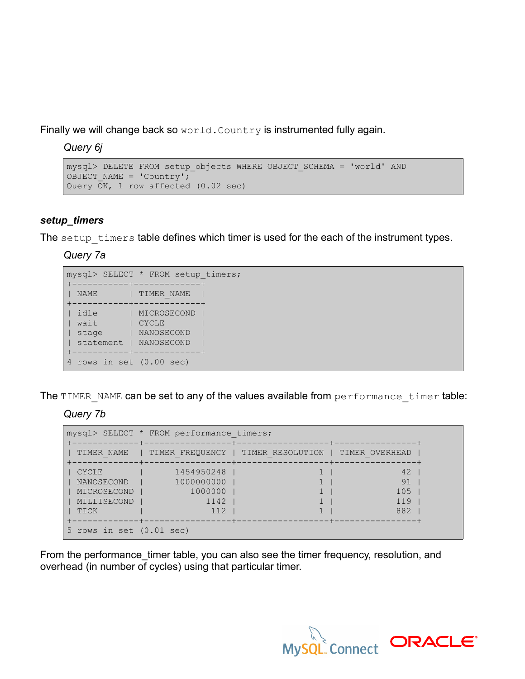Finally we will change back so world. Country is instrumented fully again.

*Query 6j*

```
mysql> DELETE FROM setup_objects WHERE OBJECT_SCHEMA = 'world' AND
OBJECT NAME = 'Country';
Query OK, 1 row affected (0.02 sec)
```
## *setup\_timers*

The setup timers table defines which timer is used for the each of the instrument types.

*Query 7a*

|           | mysql> SELECT * FROM setup timers; |
|-----------|------------------------------------|
|           | . - - + - - - - - - - - -          |
| NAME      | TIMER NAME                         |
| idle      | MICROSECOND                        |
| wait      | <b>CYCLE</b>                       |
| stage     | NANOSECOND                         |
| statement | NANOSECOND                         |
|           | ---+-------------+                 |
|           | rows in set $(0.00 \text{ sec})$   |

The TIMER NAME can be set to any of the values available from performance timer table:

*Query 7b*

| mysql> SELECT * FROM performance timers;                  |                                                    |                                                     |                               |
|-----------------------------------------------------------|----------------------------------------------------|-----------------------------------------------------|-------------------------------|
| TIMER NAME                                                |                                                    | TIMER FREQUENCY   TIMER RESOLUTION   TIMER OVERHEAD |                               |
| CYCLE<br>NANOSECOND<br>MICROSECOND<br>MILLISECOND<br>TICK | 1454950248<br>1000000000<br>1000000<br>1142<br>112 |                                                     | 42<br>91<br>105<br>119<br>882 |
| 5 rows in set $(0.01 \text{ sec})$                        |                                                    |                                                     |                               |

From the performance\_timer table, you can also see the timer frequency, resolution, and overhead (in number of cycles) using that particular timer.

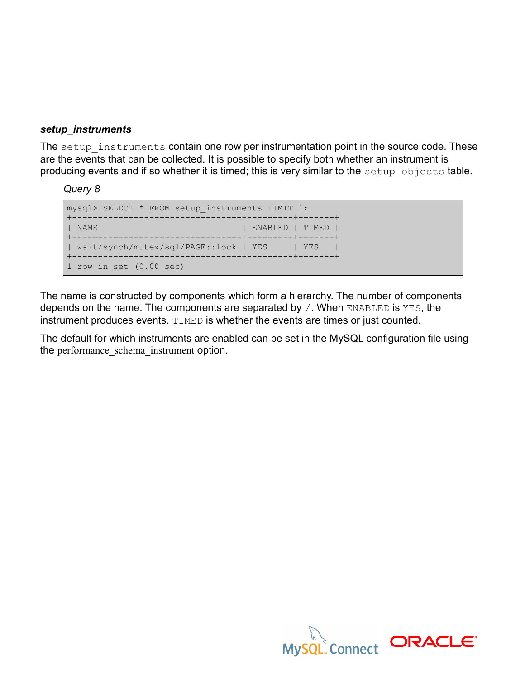## *setup\_instruments*

The setup instruments contain one row per instrumentation point in the source code. These are the events that can be collected. It is possible to specify both whether an instrument is producing events and if so whether it is timed; this is very similar to the setup objects table.

*Query 8*



The name is constructed by components which form a hierarchy. The number of components depends on the name. The components are separated by /. When ENABLED is YES, the instrument produces events. TIMED is whether the events are times or just counted.

The default for which instruments are enabled can be set in the MySQL configuration file using the performance schema instrument option.

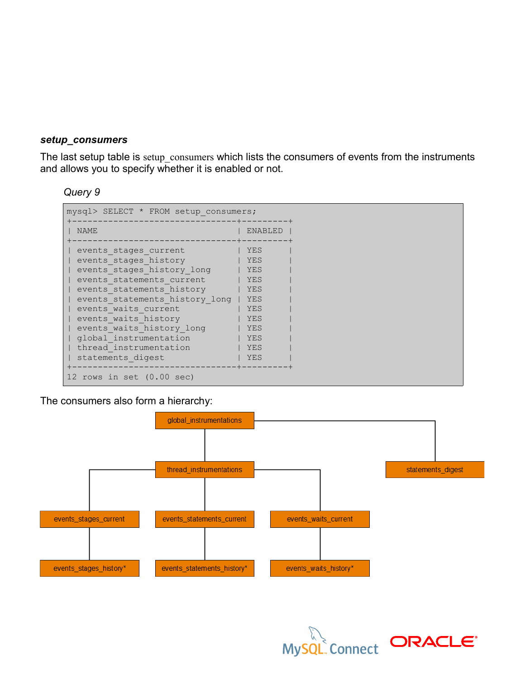### *setup\_consumers*

The last setup table is setup consumers which lists the consumers of events from the instruments and allows you to specify whether it is enabled or not.

### *Query 9*



The consumers also form a hierarchy:



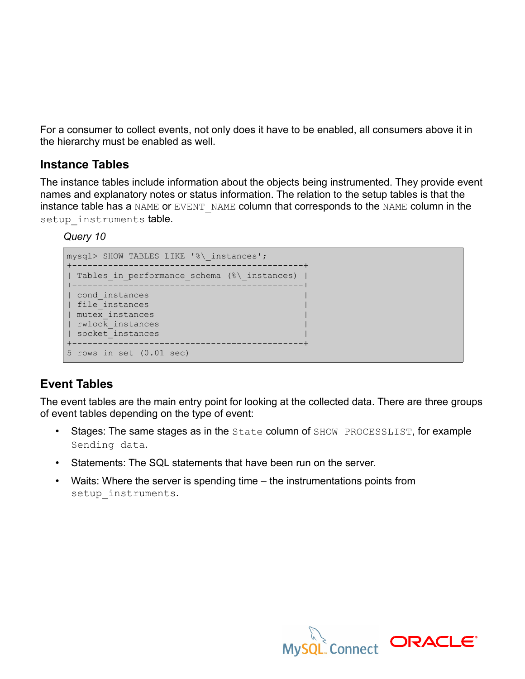For a consumer to collect events, not only does it have to be enabled, all consumers above it in the hierarchy must be enabled as well.

## **Instance Tables**

The instance tables include information about the objects being instrumented. They provide event names and explanatory notes or status information. The relation to the setup tables is that the instance table has a NAME or EVENT NAME column that corresponds to the NAME column in the setup instruments table.

*Query 10*



# **Event Tables**

The event tables are the main entry point for looking at the collected data. There are three groups of event tables depending on the type of event:

- Stages: The same stages as in the State column of SHOW PROCESSLIST, for example Sending data.
- Statements: The SQL statements that have been run on the server.
- Waits: Where the server is spending time the instrumentations points from setup instruments.

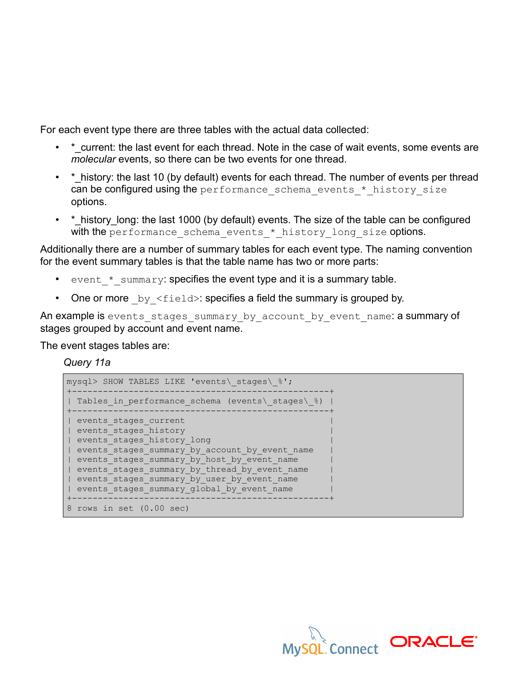For each event type there are three tables with the actual data collected:

- \* current: the last event for each thread. Note in the case of wait events, some events are *molecular* events, so there can be two events for one thread.
- \* history: the last 10 (by default) events for each thread. The number of events per thread can be configured using the performance schema events \* history size options.
- \* history long: the last 1000 (by default) events. The size of the table can be configured with the performance schema events \* history long size options.

Additionally there are a number of summary tables for each event type. The naming convention for the event summary tables is that the table name has two or more parts:

- event \* summary: specifies the event type and it is a summary table.
- One or more  $by \leq field$ : specifies a field the summary is grouped by.

An example is events\_stages\_summary\_by\_account\_by\_event\_name: a summary of stages grouped by account and event name.

The event stages tables are:

*Query 11a*

| mysql> SHOW TABLES LIKE 'events\ stages\ %';                                                                                                   |
|------------------------------------------------------------------------------------------------------------------------------------------------|
| Tables in performance schema (events\ stages\ $\S$ )                                                                                           |
| events stages current<br>events stages history<br>events stages history long                                                                   |
| events stages summary by account by event name<br>events stages summary by host by event name<br>events stages summary by thread by event name |
| events stages summary by user by event name<br>events stages summary global by event name                                                      |
| 8 rows in set (0.00 sec)                                                                                                                       |

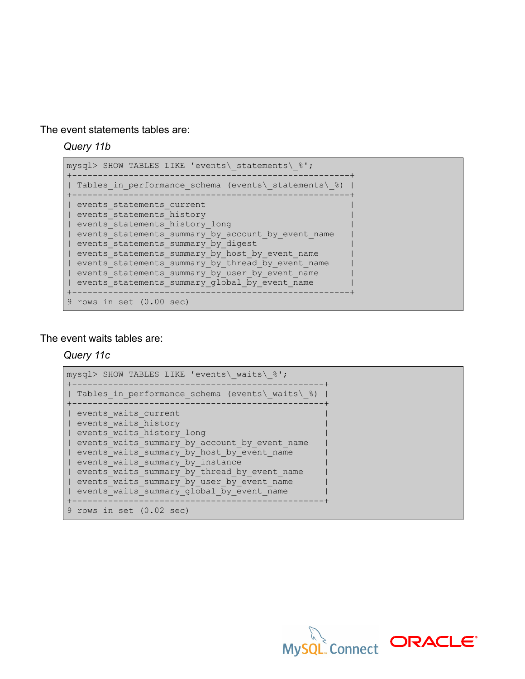The event statements tables are:

*Query 11b*

```
mysql> SHOW TABLES LIKE 'events\ statements\ %';
+------------------------------------------------------+
| Tables in performance schema (events\ statements\ %) |
      +------------------------------------------------------+
| events_statements_current |
| events_statements_history |
| events_statements_history_long |
| events_statements_summary_by_account_by_event_name |
| events_statements_summary_by_digest |
| events_statements_summary_by_host_by_event_name |
| events_statements_summary_by_thread_by_event_name |
| events statements summary by user by event name
| events statements summary global by event name
+------------------------------------------------------+
9 rows in set (0.00 sec)
```
#### The event waits tables are:

*Query 11c*

```
mysql> SHOW TABLES LIKE 'events\_waits\_%';
   +-------------------------------------------------+
| Tables_in_performance_schema (events\_waits\_%) |
+-------------------------------------------------+
| events_waits_current |
| events_waits_history |
| events_waits_history_long |
| events_waits_summary_by_account_by_event_name |
| events_waits_summary_by_host_by_event_name
| events_waits_summary_by_instance |
| events waits summary by thread by event name
| events waits summary by user by event name
| events waits summary global by event name
+-------------------------------------------------+
9 rows in set (0.02 sec)
```
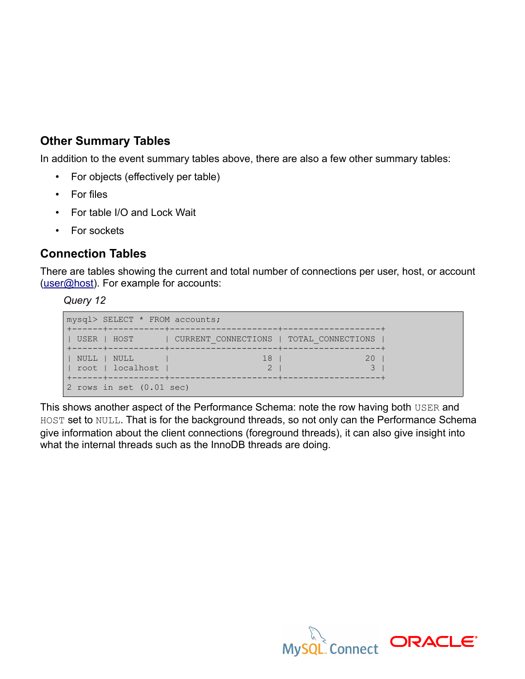# **Other Summary Tables**

In addition to the event summary tables above, there are also a few other summary tables:

- For objects (effectively per table)
- For files
- For table I/O and Lock Wait
- For sockets

# **Connection Tables**

There are tables showing the current and total number of connections per user, host, or account [\(user@host\)](mailto:user@host). For example for accounts:

## *Query 12*

```
mysql> SELECT * FROM accounts;
+------+-----------+---------------------+-------------------+
| USER | HOST | CURRENT CONNECTIONS | TOTAL CONNECTIONS |
+------+-----------+---------------------+-------------------+
| NULL | NULL | 18 | 20 |
| root | localhost | 2 | 3 |
+------+-----------+---------------------+-------------------+
2 rows in set (0.01 sec)
```
This shows another aspect of the Performance Schema: note the row having both USER and HOST set to NULL. That is for the background threads, so not only can the Performance Schema give information about the client connections (foreground threads), it can also give insight into what the internal threads such as the InnoDB threads are doing.

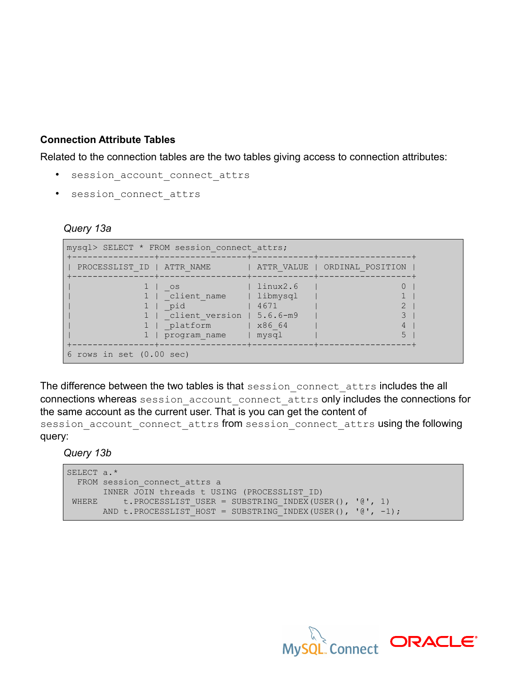## **Connection Attribute Tables**

Related to the connection tables are the two tables giving access to connection attributes:

- session account connect attrs
- session connect attrs

### *Query 13a*

|                                    | mysql> SELECT * FROM session connect attrs;                                                |                                                               |                               |
|------------------------------------|--------------------------------------------------------------------------------------------|---------------------------------------------------------------|-------------------------------|
| PROCESSLIST ID   ATTR NAME         |                                                                                            | --------+------------+-------                                 | ATTR VALUE   ORDINAL POSITION |
|                                    | <b>OS</b><br>  client name<br>pid<br>client version   5.6.6-m9<br>platform<br>program name | linux2.6<br>  libmysql<br>4671<br>$ $ $\times 86$ 64<br>mysql |                               |
| 6 rows in set $(0.00 \text{ sec})$ |                                                                                            |                                                               |                               |

The difference between the two tables is that session connect attrs includes the all connections whereas session account connect attrs only includes the connections for the same account as the current user. That is you can get the content of

session\_account\_connect\_attrs from session connect attrs using the following query:

*Query 13b*

```
SELECT a.*
  FROM session_connect_attrs a
   INNER JOIN threads t USING (PROCESSLIST_ID)
 WHERE t.PROCESSLIST USER = SUBSTRING INDEX(USER(), '@', 1)
     AND t.PROCESSLIST HOST = SUBSTRING INDEX(USER(), '\theta', -1);
```
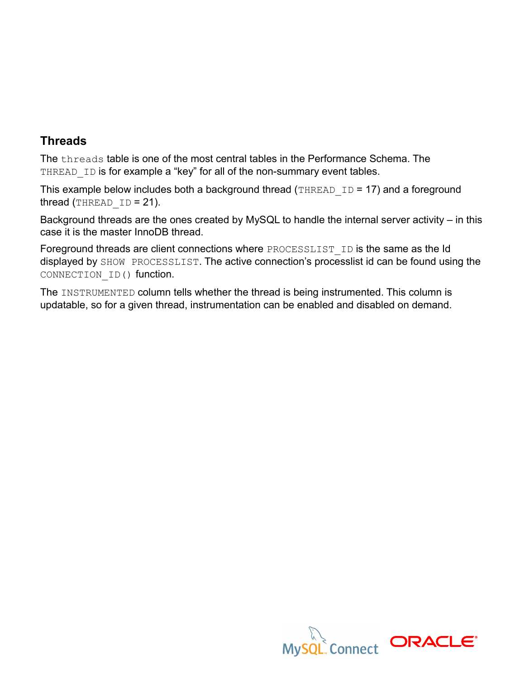# **Threads**

The threads table is one of the most central tables in the Performance Schema. The THREAD ID is for example a "key" for all of the non-summary event tables.

This example below includes both a background thread (THREAD ID = 17) and a foreground thread (THREAD  $ID = 21$ ).

Background threads are the ones created by MySQL to handle the internal server activity – in this case it is the master InnoDB thread.

Foreground threads are client connections where PROCESSLIST ID is the same as the Id displayed by SHOW PROCESSLIST. The active connection's processlist id can be found using the CONNECTION\_ID() function.

The INSTRUMENTED column tells whether the thread is being instrumented. This column is updatable, so for a given thread, instrumentation can be enabled and disabled on demand.

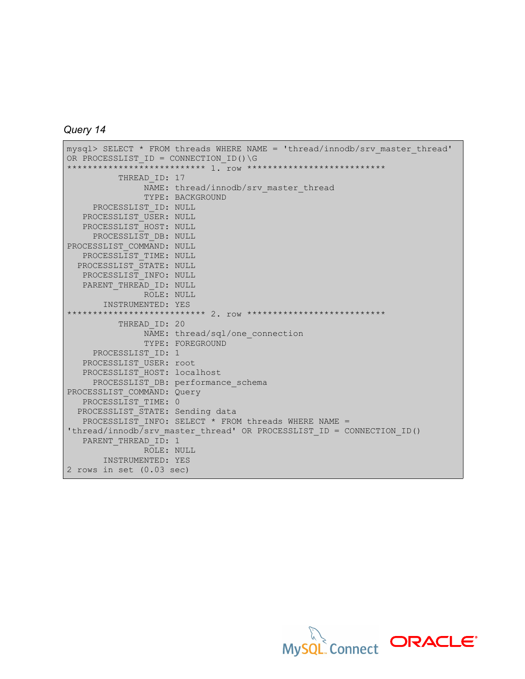```
Query 14
```

```
mysql> SELECT * FROM threads WHERE NAME = 'thread/innodb/srv_master_thread'
OR PROCESSLIST ID = CONNECTION ID() \G
************************ 1. TOW ***************************
         THREAD ID: 17
              NAME: thread/innodb/srv master thread
               TYPE: BACKGROUND
    PROCESSLIST_ID: NULL
   PROCESSLIST USER: NULL
    PROCESSLIST_HOST: NULL
   PROCESSLIST DB: NULL
PROCESSLIST_COMMAND: NULL
  PROCESSLIST TIME: NULL
  PROCESSLIST_STATE: NULL
   PROCESSLIST_INFO: NULL
   PARENT THREAD ID: NULL
               ROLE: NULL
       INSTRUMENTED: YES
************************ 2. row **************************
          THREAD_ID: 20
              NAME: thread/sql/one connection
               TYPE: FOREGROUND
   PROCESSLIST ID: 1
   PROCESSLIST USER: root
   PROCESSLIST_HOST: localhost
    PROCESSLIST_DB: performance_schema
PROCESSLIST_COMMAND: Query
  PROCESSLIST TIME: 0
 PROCESSLIST STATE: Sending data
   PROCESSLIST INFO: SELECT * FROM threads WHERE NAME =
'thread/innodb/srv_master_thread' OR PROCESSLIST_ID = CONNECTION_ID()
  PARENT THREAD ID: 1
               ROLE: NULL
       INSTRUMENTED: YES
2 rows in set (0.03 sec)
```
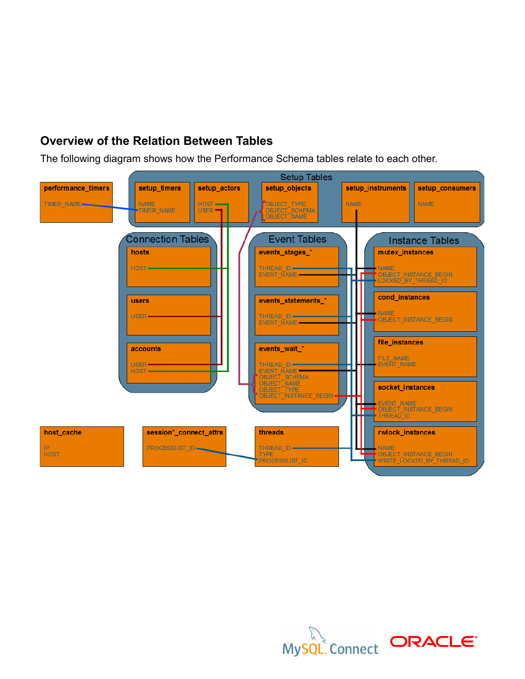# **Overview of the Relation Between Tables**

The following diagram shows how the Performance Schema tables relate to each other.



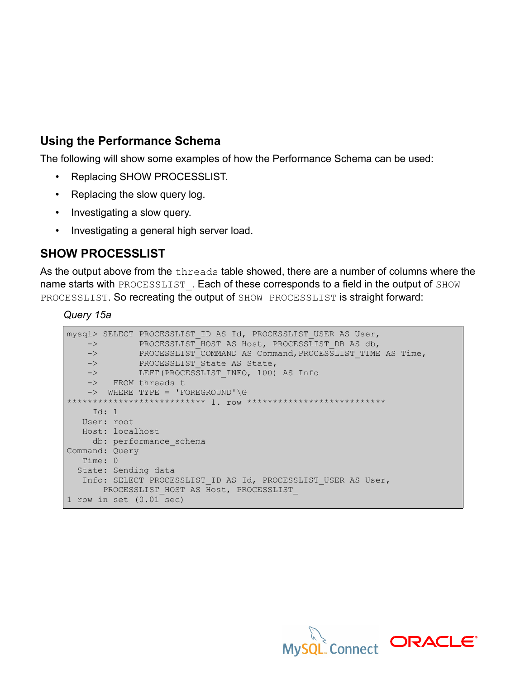# **Using the Performance Schema**

The following will show some examples of how the Performance Schema can be used:

- Replacing SHOW PROCESSLIST.
- Replacing the slow query log.
- Investigating a slow query.
- Investigating a general high server load.

# **SHOW PROCESSLIST**

As the output above from the threads table showed, there are a number of columns where the name starts with PROCESSLIST. Each of these corresponds to a field in the output of SHOW PROCESSLIST. So recreating the output of SHOW PROCESSLIST is straight forward:

*Query 15a*

|                | $\rightarrow$ and the set of $\rightarrow$ | mysql> SELECT PROCESSLIST ID AS Id, PROCESSLIST USER AS User,<br>PROCESSLIST HOST AS Host, PROCESSLIST DB AS db, |
|----------------|--------------------------------------------|------------------------------------------------------------------------------------------------------------------|
| $\rightarrow$  |                                            | PROCESSLIST COMMAND AS Command, PROCESSLIST TIME AS Time,                                                        |
| $\rightarrow$  |                                            | PROCESSLIST State AS State,                                                                                      |
|                | $\rightarrow$                              | LEFT (PROCESSLIST INFO, 100) AS Info                                                                             |
|                |                                            | -> FROM threads t                                                                                                |
|                |                                            | $\rightarrow$ WHERE TYPE = 'FOREGROUND'\G                                                                        |
|                |                                            |                                                                                                                  |
|                | Id: $1$                                    |                                                                                                                  |
|                | User: root                                 |                                                                                                                  |
|                | Host: localhost                            |                                                                                                                  |
|                |                                            | db: performance schema                                                                                           |
| Command: Query |                                            |                                                                                                                  |
| Time: 0        |                                            |                                                                                                                  |
|                |                                            | State: Sending data                                                                                              |
|                |                                            | Info: SELECT PROCESSLIST ID AS Id, PROCESSLIST USER AS User,<br>PROCESSLIST HOST AS Host, PROCESSLIST            |
|                |                                            | 1 row in set $(0.01 \text{ sec})$                                                                                |

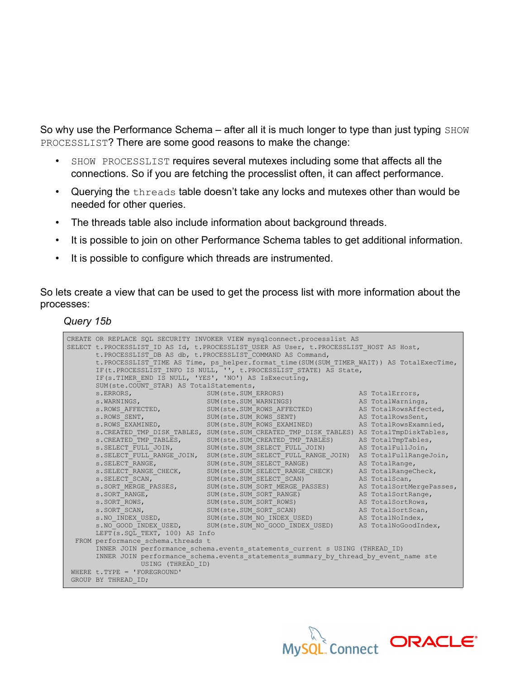So why use the Performance Schema – after all it is much longer to type than just typing SHOW PROCESSLIST? There are some good reasons to make the change:

- SHOW PROCESSLIST requires several mutexes including some that affects all the connections. So if you are fetching the processlist often, it can affect performance.
- Querying the threads table doesn't take any locks and mutexes other than would be needed for other queries.
- The threads table also include information about background threads.
- It is possible to join on other Performance Schema tables to get additional information.
- It is possible to configure which threads are instrumented.

So lets create a view that can be used to get the process list with more information about the processes:

*Query 15b*

|                                                       | CREATE OR REPLACE SQL SECURITY INVOKER VIEW mysqlconnect.processlist AS                                                                          |                |
|-------------------------------------------------------|--------------------------------------------------------------------------------------------------------------------------------------------------|----------------|
|                                                       | SELECT t. PROCESSLIST ID AS Id, t. PROCESSLIST USER AS User, t. PROCESSLIST HOST AS Host,                                                        |                |
|                                                       | t. PROCESSLIST DB AS db, t. PROCESSLIST COMMAND AS Command,                                                                                      |                |
|                                                       | t. PROCESSLIST TIME AS Time, ps helper. format time (SUM (SUM TIMER WAIT)) AS TotalExecTime,                                                     |                |
|                                                       | IF(t.PROCESSLIST INFO IS NULL, "', t.PROCESSLIST STATE) AS State,                                                                                |                |
| IF(s. TIMER END IS NULL, 'YES', 'NO') AS IsExecuting, |                                                                                                                                                  |                |
| SUM (ste. COUNT STAR) AS TotalStatements,             |                                                                                                                                                  |                |
|                                                       |                                                                                                                                                  |                |
|                                                       | s.ERRORS, SUM(ste.SUM_ERRORS) AS TotalErrors,<br>s.WARNINGS, SUM(ste.SUM_WARNINGS) AS TotalWarnings,                                             |                |
|                                                       | s. ROWS AFFECTED, SUM (ste. SUM ROWS AFFECTED) AS Total Rows Affected,                                                                           |                |
|                                                       |                                                                                                                                                  |                |
|                                                       | s.ROWS_SENT, SUM(ste.SUM_ROWS_SENT) AS TotalRowsSent,<br>s.ROWS_EXAMINED, SUM(ste.SUM_ROWS_EXAMINED) AS TotalRowsExamnied,                       |                |
|                                                       | s. CREATED TMP DISK TABLES, SUM (ste. SUM CREATED TMP DISK TABLES) AS TotalTmpDiskTables,                                                        |                |
|                                                       | s. CREATED TMP TABLES, SUM (ste. SUM CREATED TMP TABLES) AS TotalTmpTables,                                                                      |                |
|                                                       | s. SELECT_FULL_JOIN, SUM(ste. SUM_SELECT_FULL_JOIN) AS TotalFullJoin,                                                                            |                |
|                                                       | s. SELECT FULL RANGE JOIN, SUM (ste. SUM SELECT FULL RANGE JOIN) AS TotalFullRangeJoin,                                                          |                |
| S. SELECT RANGE,                                      | SUM(ste.SUM SELECT RANGE)                                                                                                                        | AS TotalRange, |
|                                                       | s.SELECT_RANGE_CHECK, SUM(ste.SUM_SELECT_RANGE_CHECK) AS TotalRangeCheck, s.SELECT_SCAN, SUM(ste.SUM_SELECT_SCAN) AS TotalScan,                  |                |
|                                                       |                                                                                                                                                  |                |
|                                                       | s. SORT_MERGE_PASSES, SUM(ste. SUM_SORT_MERGE_PASSES) AS TotalSortMergePasses,                                                                   |                |
|                                                       |                                                                                                                                                  |                |
|                                                       | s.SORT_RANGE, SUM(ste.SUM_SORT_RANGE) AS TotalSortRange, s.SORT_ROWS, SUM(ste.SUM_SORT_ROWS) AS TotalSortRows,                                   |                |
|                                                       | s. SORT SCAN, SUM (ste. SUM SORT SCAN) AS TotalSortScan,                                                                                         |                |
|                                                       | S. NO INDEX USED, SUM (ste. SUM NO INDEX USED) AS TotalNoIndex,<br>s. NO COOD TNDEX USED, SUM (ste. SUM NO GOOD TNDEX USED) AS TotalNoGoodIndex, |                |
|                                                       |                                                                                                                                                  |                |
| LEFT (s. SQL TEXT, 100) AS Info                       |                                                                                                                                                  |                |
| FROM performance schema.threads t                     |                                                                                                                                                  |                |
|                                                       | INNER JOIN performance schema.events statements current s USING (THREAD ID)                                                                      |                |
|                                                       | INNER JOIN performance schema. events statements summary by thread by event name ste                                                             |                |
| USING (THREAD ID)                                     |                                                                                                                                                  |                |
| WHERE $t.$ TYPE = 'FOREGROUND'                        |                                                                                                                                                  |                |
| GROUP BY THREAD ID;                                   |                                                                                                                                                  |                |

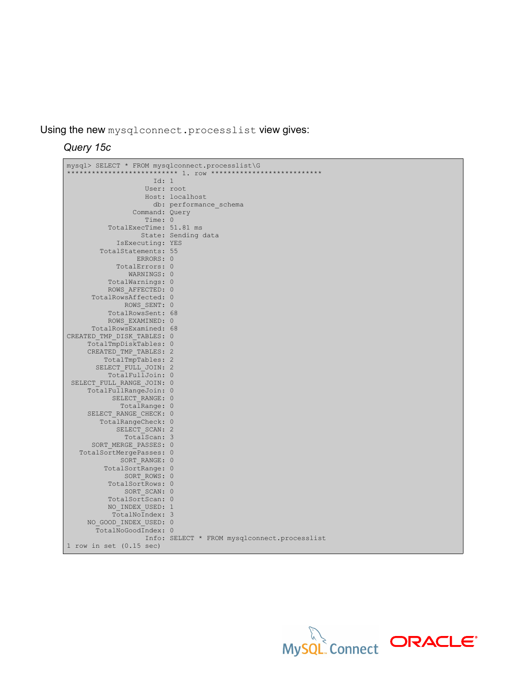Using the new mysqlconnect.processlist view gives:

*Query 15c*

Ē

| mysql> SELECT * FROM mysqlconnect.processlist\G    |                                              |
|----------------------------------------------------|----------------------------------------------|
|                                                    |                                              |
| Id: 1                                              |                                              |
| User: root                                         |                                              |
|                                                    | Host: localhost                              |
|                                                    | db: performance schema                       |
| Command: Query                                     |                                              |
| Time: 0                                            |                                              |
| TotalExecTime: 51.81 ms                            |                                              |
|                                                    | State: Sending data                          |
| IsExecuting: YES                                   |                                              |
| TotalStatements: 55                                |                                              |
| ERRORS: 0                                          |                                              |
| TotalErrors: 0                                     |                                              |
| WARNINGS: 0                                        |                                              |
| TotalWarnings: 0                                   |                                              |
| ROWS AFFECTED: 0                                   |                                              |
| TotalRowsAffected: 0                               |                                              |
| ROWS SENT: 0                                       |                                              |
| TotalRowsSent: 68                                  |                                              |
| ROWS EXAMINED: 0                                   |                                              |
| TotalRowsExamined: 68                              |                                              |
| CREATED TMP DISK TABLES: 0                         |                                              |
| TotalTmpDiskTables: 0                              |                                              |
| CREATED TMP TABLES: 2                              |                                              |
| TotalTmpTables: 2                                  |                                              |
| SELECT FULL JOIN: 2                                |                                              |
| TotalFullJoin: 0                                   |                                              |
|                                                    |                                              |
| SELECT FULL RANGE JOIN: 0<br>TotalFullRangeJoin: 0 |                                              |
| SELECT RANGE: 0                                    |                                              |
|                                                    |                                              |
| TotalRange: 0                                      |                                              |
| SELECT RANGE CHECK: 0                              |                                              |
| TotalRangeCheck: 0                                 |                                              |
| SELECT SCAN: 2                                     |                                              |
| TotalScan: 3                                       |                                              |
| SORT MERGE PASSES: 0                               |                                              |
| TotalSortMergePasses: 0                            |                                              |
| SORT RANGE: 0                                      |                                              |
| TotalSortRange: 0                                  |                                              |
| SORT ROWS: 0                                       |                                              |
| TotalSortRows: 0                                   |                                              |
| SORT SCAN: 0                                       |                                              |
| TotalSortScan: 0                                   |                                              |
| NO INDEX USED: 1                                   |                                              |
| TotalNoIndex: 3                                    |                                              |
| NO GOOD INDEX USED: 0                              |                                              |
| TotalNoGoodIndex: 0                                |                                              |
|                                                    | Info: SELECT * FROM mysqlconnect.processlist |
| $1$ row in set $(0.15$ sec)                        |                                              |

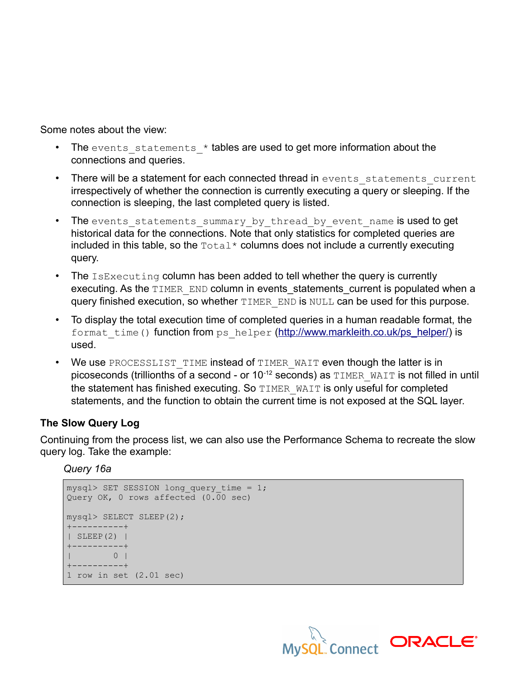Some notes about the view:

- The events statements  $*$  tables are used to get more information about the connections and queries.
- There will be a statement for each connected thread in events statements current irrespectively of whether the connection is currently executing a query or sleeping. If the connection is sleeping, the last completed query is listed.
- The events statements summary by thread by event name is used to get historical data for the connections. Note that only statistics for completed queries are included in this table, so the  $\text{Total*}$  columns does not include a currently executing query.
- The  $ISEXecuting column has been added to tell whether the query is currently.$ executing. As the TIMER END column in events statements current is populated when a query finished execution, so whether TIMER\_END is NULL can be used for this purpose.
- To display the total execution time of completed queries in a human readable format, the format time() function from ps\_helper [\(http://www.markleith.co.uk/ps\\_helper/\)](http://www.markleith.co.uk/ps_helper/) is used.
- We use PROCESSLIST TIME instead of TIMER WAIT even though the latter is in picoseconds (trillionths of a second - or  $10^{-12}$  seconds) as  $\text{TIMER}$  WAIT is not filled in until the statement has finished executing. So TIMER\_WAIT is only useful for completed statements, and the function to obtain the current time is not exposed at the SQL layer.

## **The Slow Query Log**

Continuing from the process list, we can also use the Performance Schema to recreate the slow query log. Take the example:

*Query 16a*

```
mysql> SET SESSION long query time = 1;
Query OK, 0 rows affected (0.00 sec)
mysql> SELECT SLEEP(2);
+----------+
| SLEEP(2) |
+----------+
    \begin{array}{ccc} & 0 & \end{array}+----------+
1 row in set (2.01 sec)
```
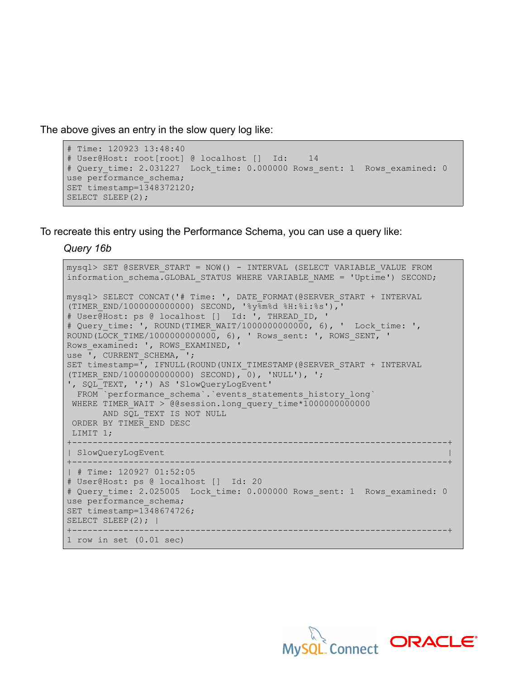The above gives an entry in the slow query log like:

```
# Time: 120923 13:48:40
# User@Host: root[root] @ localhost [] Id: 14
# Query time: 2.031227 Lock_time: 0.000000 Rows_sent: 1 Rows_examined: 0
use performance schema;
SET timestamp=1348372120;
SELECT SLEEP(2);
```
To recreate this entry using the Performance Schema, you can use a query like:

*Query 16b*

```
mysql> SET @SERVER_START = NOW() - INTERVAL (SELECT VARIABLE_VALUE FROM
information schema.GLOBAL STATUS WHERE VARIABLE NAME = 'Uptime') SECOND;
mysql> SELECT CONCAT('# Time: ', DATE_FORMAT(@SERVER_START + INTERVAL
(TIMER END/1000000000000) SECOND, '%y%m%d %H:%i:%s'),'
# User@Host: ps @ localhost [] Id: ', THREAD_ID, '
# Query time: ', ROUND(TIMER WAIT/1000000000000, 6), ' Lock time: ',
ROUND(LOCK TIME/10000000000000, 6), ' Rows sent: ', ROWS SENT, '
Rows examined: ', ROWS EXAMINED, '
use \overline{\phantom{a}}, CURRENT SCHEMA, \overline{\phantom{a}};
SET timestamp=", IFNULL(ROUND(UNIX TIMESTAMP(@SERVER START + INTERVAL
(TIMER_END/1000000000000) SECOND), 0), 'NULL'), ';
 ', SQL_TEXT, ';') AS 'SlowQueryLogEvent'
 FROM `performance schema`.`events statements history long`
 WHERE TIMER WAIT > @@session.long query time*10000000000000
   AND SQL TEXT IS NOT NULL
  ORDER BY TIMER_END DESC
 LIMIT 1;
+-------------------------------------------------------------------------+
| SlowQueryLogEvent |
+-------------------------------------------------------------------------+
| # Time: 120927 01:52:05
# User@Host: ps @ localhost [] Id: 20
# Query time: 2.025005 Lock time: 0.000000 Rows sent: 1 Rows examined: 0
use performance schema;
SET timestamp=1348674726;
SELECT SLEEP(2); |
+-------------------------------------------------------------------------+
1 row in set (0.01 sec)
```
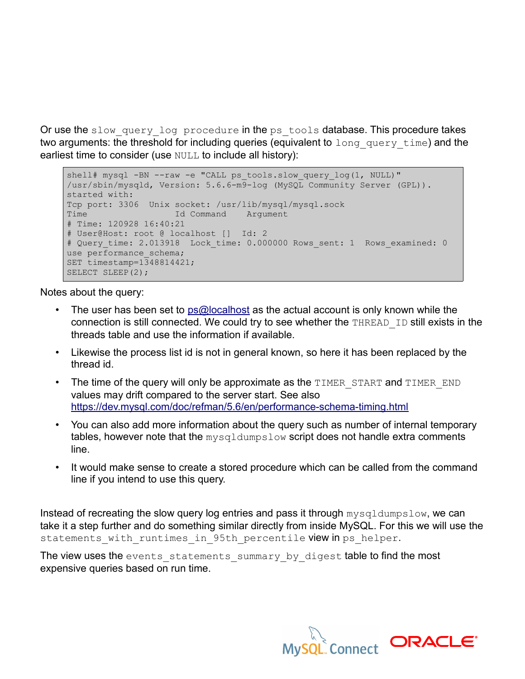Or use the slow query log procedure in the ps tools database. This procedure takes two arguments: the threshold for including queries (equivalent to long query time) and the earliest time to consider (use NULL to include all history):

```
shell# mysql -BN --raw -e "CALL ps tools.slow query log(1, NULL)"
/usr/sbin/mysqld, Version: 5.6.6-m9-log (MySQL Community Server (GPL)).
started with:
Tcp port: 3306 Unix socket: /usr/lib/mysql/mysql.sock
Time Id Command Argument
# Time: 120928 16:40:21
# User@Host: root @ localhost [] Id: 2
# Query time: 2.013918 Lock time: 0.000000 Rows sent: 1 Rows examined: 0
use performance schema;
SET timestamp=1348814421;
SELECT SLEEP(2);
```
Notes about the query:

- The user has been set to  $ps@localhost$  as the actual account is only known while the connection is still connected. We could try to see whether the THREAD ID still exists in the threads table and use the information if available.
- Likewise the process list id is not in general known, so here it has been replaced by the thread id.
- The time of the query will only be approximate as the  $\tt{TIMER}$  start and  $\tt{TIMER}$  END values may drift compared to the server start. See also <https://dev.mysql.com/doc/refman/5.6/en/performance-schema-timing.html>
- You can also add more information about the query such as number of internal temporary tables, however note that the mysqldumpslow script does not handle extra comments line.
- It would make sense to create a stored procedure which can be called from the command line if you intend to use this query.

Instead of recreating the slow query log entries and pass it through mysqldumpslow, we can take it a step further and do something similar directly from inside MySQL. For this we will use the statements with runtimes in 95th percentile view in ps\_helper.

The view uses the events statements summary by digest table to find the most expensive queries based on run time.

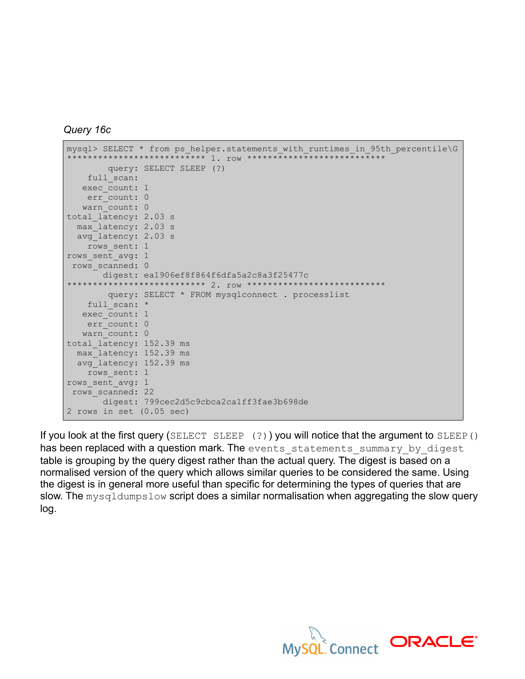```
Query 16c
```

```
mysql> SELECT * from ps helper.statements with runtimes in 95th percentile\G
        *************************** 1. row ***************************
        query: SELECT SLEEP (?)
   full scan:
  exec count: 1
   err_count: 0
  warn count: 0
total_latency: 2.03 s
  max_latency: 2.03 s
  avg_latency: 2.03 s
  rows sent: 1
rows_sent_avg: 1
 rows_scanned: 0
      digest: ea1906ef8f864f6dfa5a2c8a3f25477c
                *************************** 2. row ***************************
        query: SELECT * FROM mysqlconnect . processlist
   full scan: *
  exec count: 1
   err count: 0
 warn count: 0
total latency: 152.39 ms
  max_latency: 152.39 ms
 avg latency: 152.39 ms
  rows sent: 1
rows_sent_avg: 1
 rows_scanned: 22
   digest: 799cec2d5c9cbca2ca1ff3fae3b698de
2 rows in set (0.05 sec)
```
If you look at the first query (SELECT SLEEP  $(?)$ ) you will notice that the argument to SLEEP() has been replaced with a question mark. The events statements summary by digest table is grouping by the query digest rather than the actual query. The digest is based on a normalised version of the query which allows similar queries to be considered the same. Using the digest is in general more useful than specific for determining the types of queries that are slow. The mysqldumpslow script does a similar normalisation when aggregating the slow query log.

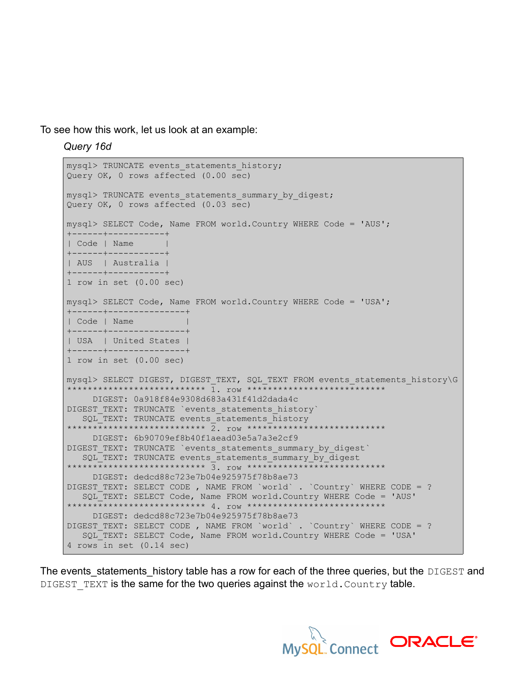To see how this work, let us look at an example:

*Query 16d*

```
mysql> TRUNCATE events statements history;
Query OK, 0 rows affected (0.00 sec)
mysql> TRUNCATE events statements summary by digest;
Query OK, 0 rows affected (0.03 sec)
mysql> SELECT Code, Name FROM world.Country WHERE Code = 'AUS';
+------+-----------+
| Code | Name |
+------+-----------+
| AUS | Australia |
+------+-----------+
1 row in set (0.00 sec)
mysql> SELECT Code, Name FROM world.Country WHERE Code = 'USA';
+------+---------------+
| Code | Name |
+------+---------------+
| USA | United States |
+------+---------------+
1 row in set (0.00 sec)
mysql> SELECT DIGEST, DIGEST TEXT, SQL TEXT FROM events statements history\G
*************************** 1. row ***************************
    DIGEST: 0a918f84e9308d683a431f41d2dada4c
DIGEST TEXT: TRUNCATE `events statements history`
 SQL TEXT: TRUNCATE events statements history
      *************************** 2. row ***************************
    DIGEST: 6b90709ef8b40f1aead03e5a7a3e2cf9
DIGEST_TEXT: TRUNCATE `events_statements_summary_by_digest` 
  SQL TEXT: TRUNCATE events statements summary by digest
        *************************** 3. row ***************************
     DIGEST: dedcd88c723e7b04e925975f78b8ae73
DIGEST TEXT: SELECT CODE , NAME FROM `world` . `Country` WHERE CODE = ?
  SQL TEXT: SELECT Code, Name FROM world.Country WHERE Code = 'AUS'
       -<br>*********************** 4. row *******
     DIGEST: dedcd88c723e7b04e925975f78b8ae73
DIGEST_TEXT: SELECT CODE , NAME FROM `world` . `Country` WHERE CODE = ? 
   SQL_TEXT: SELECT Code, Name FROM world.Country WHERE Code = 'USA'
4 rows in set (0.14 sec)
```
The events statements history table has a row for each of the three queries, but the DIGEST and DIGEST TEXT is the same for the two queries against the  $word.Country$  table.

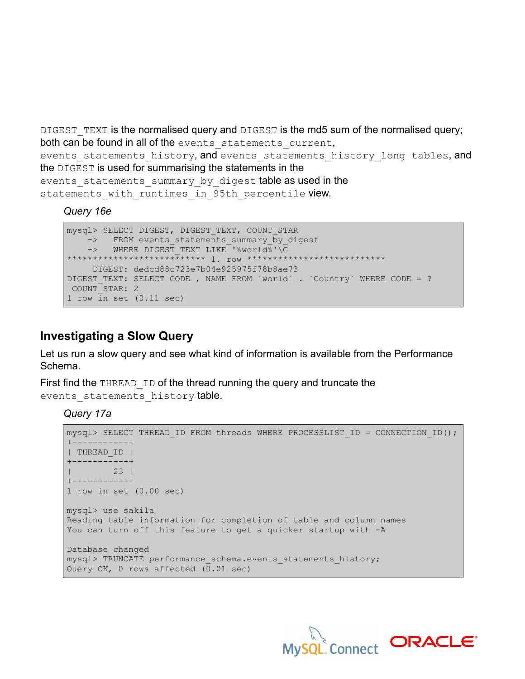DIGEST TEXT is the normalised query and DIGEST is the md5 sum of the normalised query; both can be found in all of the events statements current,

events statements history, and events statements history long tables, and the DIGEST is used for summarising the statements in the

events statements summary by digest table as used in the statements with runtimes in 95th percentile view.

## *Query 16e*

```
mysql> SELECT DIGEST, DIGEST_TEXT, COUNT_STAR
   -> FROM events statements summary by digest
   -> WHERE DIGEST TEXT LIKE '%world%'\G
*************************** 1. row ***************************
     DIGEST: dedcd88c723e7b04e925975f78b8ae73
DIGEST_TEXT: SELECT CODE , NAME FROM `world` . `Country` WHERE CODE = ? 
 COUNT_STAR: 2
1 row in set (0.11 sec)
```
## **Investigating a Slow Query**

Let us run a slow query and see what kind of information is available from the Performance Schema.

First find the THREAD ID of the thread running the query and truncate the events statements history table.

## *Query 17a*

```
mysql> SELECT THREAD ID FROM threads WHERE PROCESSLIST ID = CONNECTION ID();
+-----------+
| THREAD_ID |
+-----------+
| 23 |
+-----------+
1 row in set (0.00 sec)
mysql> use sakila
Reading table information for completion of table and column names
You can turn off this feature to get a quicker startup with -A
Database changed
mysql> TRUNCATE performance schema.events statements history;
Query OK, 0 rows affected (0.01 sec)
```
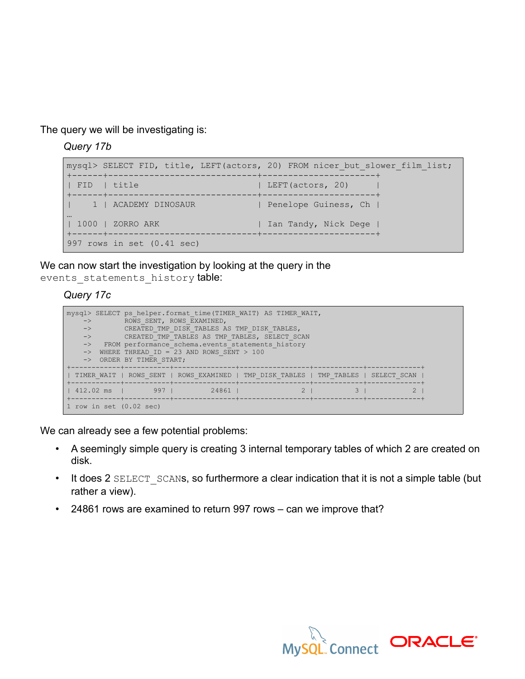The query we will be investigating is:

*Query 17b*

```
mysql> SELECT FID, title, LEFT(actors, 20) FROM nicer_but_slower_film_list;
+------+-----------------------------+----------------------+
| FID | title | Lettralian | LEFT(actors, 20) | |
+------+-----------------------------+----------------------+
| 1 | ACADEMY DINOSAUR | Penelope Guiness, Ch |
…
| 1000 | ZORRO ARK | | Ian Tandy, Nick Dege |
+------+-----------------------------+----------------------+
997 rows in set (0.41 sec)
```
We can now start the investigation by looking at the query in the events statements history table:

## *Query 17c*

| mysql> SELECT ps helper.format time (TIMER WAIT) AS TIMER WAIT,<br>ROWS SENT, ROWS EXAMINED,<br>$\rightarrow$<br>$\rightarrow$<br>CREATED TMP DISK TABLES AS TMP DISK TABLES,<br>CREATED TMP TABLES AS TMP TABLES, SELECT SCAN<br>$\rightarrow$<br>FROM performance schema.events statements history<br>$\rightarrow$<br>WHERE THREAD ID = 23 AND ROWS SENT $>$ 100<br>$\rightarrow$<br>ORDER BY TIMER START;<br>$\rightarrow$ |     |       |                                                                                     |  |  |
|--------------------------------------------------------------------------------------------------------------------------------------------------------------------------------------------------------------------------------------------------------------------------------------------------------------------------------------------------------------------------------------------------------------------------------|-----|-------|-------------------------------------------------------------------------------------|--|--|
|                                                                                                                                                                                                                                                                                                                                                                                                                                |     |       | TIMER WAIT   ROWS SENT   ROWS EXAMINED   TMP DISK TABLES   TMP TABLES   SELECT SCAN |  |  |
| 1.412.02 ms                                                                                                                                                                                                                                                                                                                                                                                                                    | 997 | 24861 |                                                                                     |  |  |
| 1 row in set $(0.02 \text{ sec})$                                                                                                                                                                                                                                                                                                                                                                                              |     |       |                                                                                     |  |  |

We can already see a few potential problems:

- A seemingly simple query is creating 3 internal temporary tables of which 2 are created on disk.
- It does 2 SELECT SCANS, so furthermore a clear indication that it is not a simple table (but rather a view).
- 24861 rows are examined to return 997 rows can we improve that?

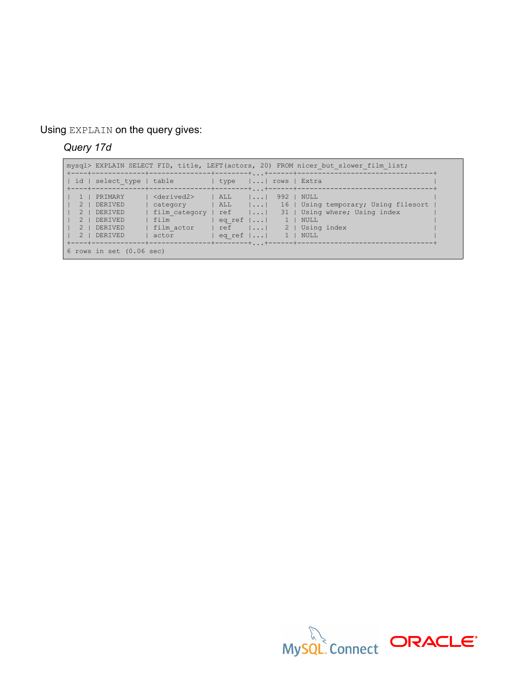Using EXPLAIN on the query gives:

# *Query 17d*

 $\blacksquare$ 

|                              |          |                          |                             |                 |                                             |                |                  | mysql> EXPLAIN SELECT FID, title, LEFT (actors, 20) FROM nicer but slower film list; |  |
|------------------------------|----------|--------------------------|-----------------------------|-----------------|---------------------------------------------|----------------|------------------|--------------------------------------------------------------------------------------|--|
|                              |          | id   select type   table |                             | l type          |                                             |                | I   rows   Extra |                                                                                      |  |
|                              | $1-1$    | PRIMARY                  | <derived2></derived2>       | $ \quad$ ALL    | $\vert \cdot \vert \cdot \cdot \cdot \vert$ | $992$ 1        | NULL             |                                                                                      |  |
|                              | $2 \;  $ | DERIVED                  | category                    | $ $ ALL $ $ $ $ |                                             |                |                  | 16   Using temporary; Using filesort                                                 |  |
|                              | $2 \mid$ | DERIVED                  | film category   ref $  $ 31 |                 |                                             |                |                  | Using where; Using index                                                             |  |
|                              | $2 \mid$ | DERIVED                  | l film                      | eq ref $  $     |                                             | $\mathbf{1}$   | NULL             |                                                                                      |  |
|                              | $2 \;  $ | DERIVED                  | film actor                  | l ref           |                                             | 2 <sup>1</sup> |                  | Using index                                                                          |  |
|                              | $2 \;  $ | DERIVED                  | actor                       | eq ref $  $     |                                             | $1 \mid$       | NULL             |                                                                                      |  |
|                              |          |                          |                             |                 |                                             |                |                  |                                                                                      |  |
| $6$ rows in set $(0.06$ sec) |          |                          |                             |                 |                                             |                |                  |                                                                                      |  |

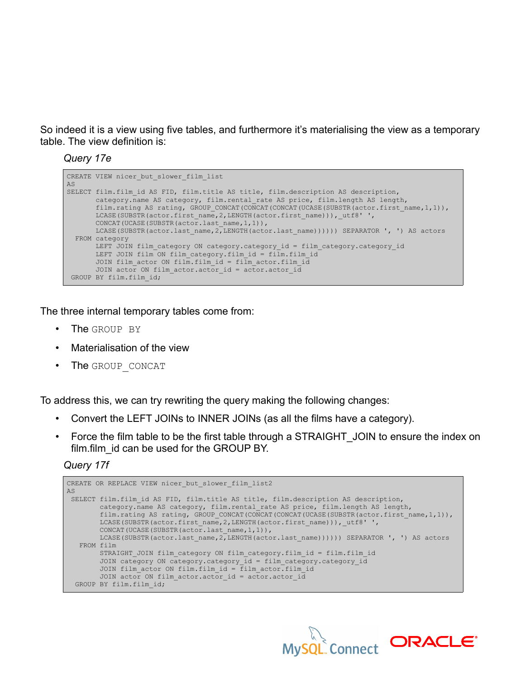So indeed it is a view using five tables, and furthermore it's materialising the view as a temporary table. The view definition is:

### *Query 17e*

```
CREATE VIEW nicer but slower film list
AS
SELECT film.film_id AS FID, film.title AS title, film.description AS description,
       category.name AS category, film.rental_rate AS price, film.length AS length,
       film.rating AS rating, GROUP CONCAT(CONCAT(CONCAT(UCASE(SUBSTR(actor.first name,1,1)),
      LCASE(SUBSTR(actor.first_name, 2, LENGTH(actor.first_name))),_utf8' ',
      CONCAT(UCASE(SUBSTR(actor.last name, 1, 1)),
       LCASE(SUBSTR(actor.last_name,2,LENGTH(actor.last_name)))))) SEPARATOR ', ') AS actors
  FROM category
      LEFT JOIN film category ON category.category id = film category.category id
        LEFT JOIN film ON film_category.film_id = film.film_id
        JOIN film_actor ON film.film_id = film_actor.film_id
      JOIN actor ON film actor.actor id = actor.actor id
 GROUP BY film.film_id;
```
The three internal temporary tables come from:

- The GROUP BY
- Materialisation of the view
- The GROUP CONCAT

To address this, we can try rewriting the query making the following changes:

- Convert the LEFT JOINs to INNER JOINs (as all the films have a category).
- Force the film table to be the first table through a STRAIGHT JOIN to ensure the index on film.film\_id can be used for the GROUP BY.

## *Query 17f*

```
CREATE OR REPLACE VIEW nicer but slower film list2
AS
SELECT film.film id AS FID, film.title AS title, film.description AS description,
         category.name AS category, film.rental_rate AS price, film.length AS length,
        film.rating AS rating, GROUP CONCAT(CONCAT(CONCAT(UCASE(SUBSTR(actor.first name,1,1)),
       LCASE(SUBSTR(actor.first_name, 2, LENGTH(actor.first_name))), utf8' ',
        CONCAT(UCASE(SUBSTR(actor.last_name, 1, 1)),
        LCASE(SUBSTR(actor.last_name,2,LENGTH(actor.last_name)))))) SEPARATOR ', ') AS actors
    FROM film
       STRAIGHT JOIN film category ON film category.film id = film.film id
         JOIN category ON category.category_id = film_category.category_id
       JOIN film actor ON film.film id = \overline{f}ilm actor.film id
       JOIN actor ON film actor.actor id = actor.actor id
   GROUP BY film.film_id;
```
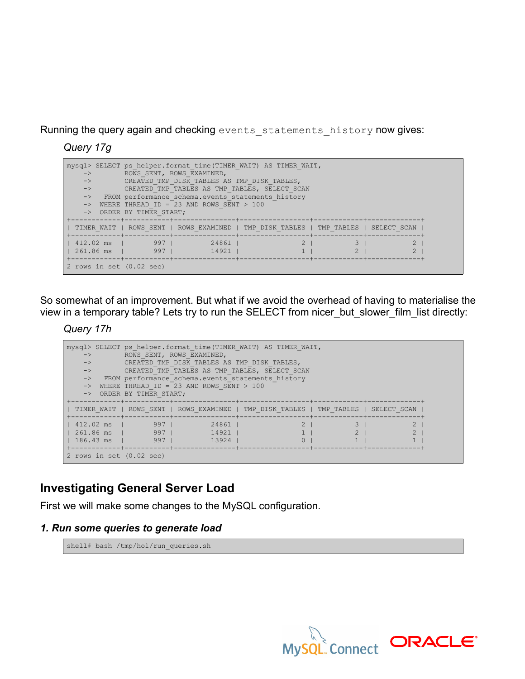Running the query again and checking events statements history now gives:

*Query 17g*

| mysql> SELECT ps helper.format time(TIMER WAIT) AS TIMER WAIT,<br>ROWS SENT, ROWS EXAMINED,<br>$\rightarrow$<br>$\rightarrow$<br>CREATED TMP DISK TABLES AS TMP DISK TABLES,<br>CREATED TMP TABLES AS TMP TABLES, SELECT SCAN<br>$\rightarrow$<br>FROM performance schema.events statements history<br>$\rightarrow$<br>WHERE THREAD ID = 23 AND ROWS SENT $>$ 100<br>-> ORDER BY TIMER START; |                            |                |                                                                       |  |             |  |  |  |
|------------------------------------------------------------------------------------------------------------------------------------------------------------------------------------------------------------------------------------------------------------------------------------------------------------------------------------------------------------------------------------------------|----------------------------|----------------|-----------------------------------------------------------------------|--|-------------|--|--|--|
|                                                                                                                                                                                                                                                                                                                                                                                                |                            |                | TIMER WAIT   ROWS SENT   ROWS EXAMINED   TMP DISK TABLES   TMP TABLES |  | SELECT SCAN |  |  |  |
| 261.86 ms l                                                                                                                                                                                                                                                                                                                                                                                    | 412.02 ms   997  <br>$997$ | 24861<br>14921 |                                                                       |  |             |  |  |  |
| +------------+-----------+--<br>2 rows in set $(0.02 \text{ sec})$                                                                                                                                                                                                                                                                                                                             |                            |                |                                                                       |  |             |  |  |  |

So somewhat of an improvement. But what if we avoid the overhead of having to materialise the view in a temporary table? Lets try to run the SELECT from nicer\_but\_slower\_film\_list directly:

*Query 17h*

| $\rightarrow$<br>$\rightarrow$<br>$\rightarrow$<br>$\rightarrow$ | -> ORDER BY TIMER START;                                                                                                                                                          | mysql> SELECT ps helper.format time (TIMER WAIT) AS TIMER WAIT,<br>ROWS SENT, ROWS EXAMINED,<br>CREATED TMP DISK TABLES AS TMP DISK TABLES,<br>CREATED TMP TABLES AS TMP TABLES, SELECT SCAN<br>-> FROM performance schema.events statements history<br>WHERE THREAD ID = 23 AND ROWS SENT > 100 |                                                                                     |  |  |  |  |  |
|------------------------------------------------------------------|-----------------------------------------------------------------------------------------------------------------------------------------------------------------------------------|--------------------------------------------------------------------------------------------------------------------------------------------------------------------------------------------------------------------------------------------------------------------------------------------------|-------------------------------------------------------------------------------------|--|--|--|--|--|
|                                                                  |                                                                                                                                                                                   |                                                                                                                                                                                                                                                                                                  | TIMER WAIT   ROWS SENT   ROWS EXAMINED   TMP DISK TABLES   TMP TABLES   SELECT SCAN |  |  |  |  |  |
| 412.02 ms<br>l 261.86 ms<br>$186.43$ ms                          | <u>andal</u> 1 and 1 and 1 and 1 and 1 and 1 and 1 and 1 and 1 and 1 and 1 and 1 and 1 and 1 and 1 and 1 and 1 and 1<br>$\frac{1}{2}$ 997  <br>9971<br>------------+-----------+- | 24861<br>14921<br>13924                                                                                                                                                                                                                                                                          |                                                                                     |  |  |  |  |  |
| 2 rows in set $(0.02 \text{ sec})$                               |                                                                                                                                                                                   |                                                                                                                                                                                                                                                                                                  |                                                                                     |  |  |  |  |  |

# **Investigating General Server Load**

First we will make some changes to the MySQL configuration.

## *1. Run some queries to generate load*

shell# bash /tmp/hol/run\_queries.sh

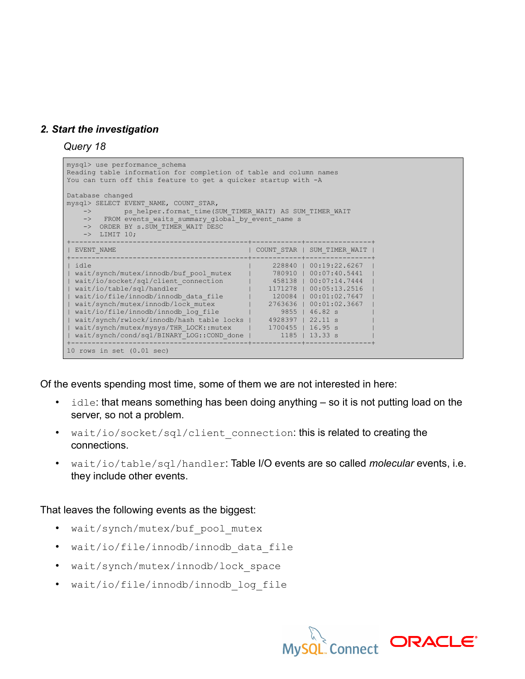## *2. Start the investigation*

*Query 18*

```
mysql> use performance_schema
Reading table information for completion of table and column names
You can turn off this feature to get a quicker startup with -A
Database changed
mysql> SELECT EVENT_NAME, COUNT_STAR,
   -> ps_helper.format_time(SUM_TIMER WAIT) AS SUM TIMER WAIT
    -> FROM events_waits_summary_global_by_event_name s
   -> ORDER BY s.SUM TIMER WAIT DESC
   \rightarrow LIMIT 10;
+-------------------------------------------+------------+----------------+
| EVENT_NAME | COUNT_STAR | SUM_TIMER_WAIT |
+-------------------------------------------+------------+----------------+
| idle | 228840 | 00:19:22.6267 |
| wait/synch/mutex/innodb/buf_pool_mutex | 780910 | 00:07:40.5441 |
| wait/io/socket/sql/client_connection | 458138 | 00:07:14.7444 |
| wait/io/table/sql/handler | 1171278 | 00:05:13.2516 |
| wait/io/file/innodb/innodb_data_file | 120084 | 00:01:02.7647 |
| wait/synch/mutex/innodb/lock_mutex | 2763636 | 00:01:02.3667 |
| wait/io/file/innodb/innodb_log_file | 9855 | 46.82 s |
| wait/synch/rwlock/innodb/hash table locks | 4928397 | 22.11 s |
| wait/synch/mutex/mysys/THR_LOCK::mutex | 1700455 | 16.95 s |
| wait/synch/cond/sql/BINARY_LOG::COND_done | 1185 | 13.33 s |
+-------------------------------------------+------------+----------------+
10 rows in set (0.01 sec)
```
Of the events spending most time, some of them we are not interested in here:

- $idle$ : that means something has been doing anything  $-$  so it is not putting load on the server, so not a problem.
- wait/io/socket/sql/client connection: this is related to creating the connections.
- wait/io/table/sql/handler: Table I/O events are so called *molecular* events, i.e. they include other events.

That leaves the following events as the biggest:

- wait/synch/mutex/buf pool mutex
- wait/io/file/innodb/innodb\_data\_file
- wait/synch/mutex/innodb/lock space
- wait/io/file/innodb/innodb\_log\_file

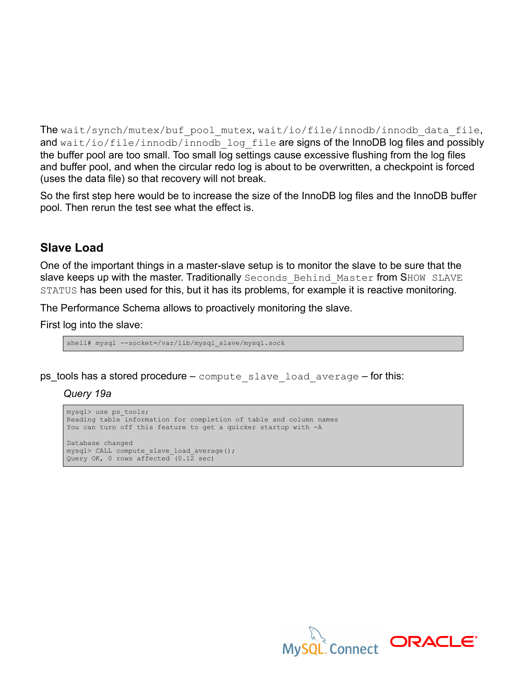The wait/synch/mutex/buf pool mutex, wait/io/file/innodb/innodb data file, and wait/io/file/innodb/innodb log file are signs of the InnoDB log files and possibly the buffer pool are too small. Too small log settings cause excessive flushing from the log files and buffer pool, and when the circular redo log is about to be overwritten, a checkpoint is forced (uses the data file) so that recovery will not break.

So the first step here would be to increase the size of the InnoDB log files and the InnoDB buffer pool. Then rerun the test see what the effect is.

## **Slave Load**

One of the important things in a master-slave setup is to monitor the slave to be sure that the slave keeps up with the master. Traditionally Seconds Behind Master from SHOW SLAVE STATUS has been used for this, but it has its problems, for example it is reactive monitoring.

The Performance Schema allows to proactively monitoring the slave.

First log into the slave:

shell# mysql --socket=/var/lib/mysql slave/mysql.sock

 $ps\_tools$  has a stored procedure – compute slave load average – for this:

*Query 19a*

```
mysql> use ps_tools;
Reading table information for completion of table and column names
You can turn off this feature to get a quicker startup with -A
Database changed
mysql> CALL compute slave load average();
Query OK, 0 rows affected (0.1\overline{2} \text{ sec})
```
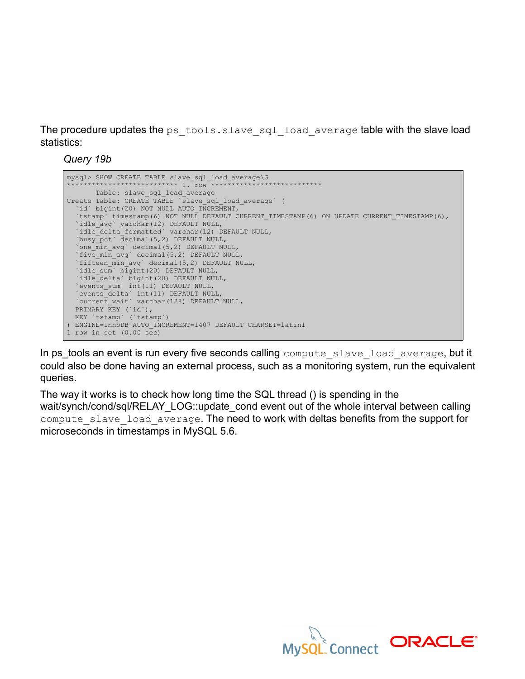The procedure updates the ps  $\text{tools.slave}$  sql load average table with the slave load statistics:

*Query 19b*



In ps\_tools an event is run every five seconds calling compute slave load average, but it could also be done having an external process, such as a monitoring system, run the equivalent queries.

The way it works is to check how long time the SQL thread () is spending in the wait/synch/cond/sql/RELAY\_LOG::update\_cond event out of the whole interval between calling compute slave load average. The need to work with deltas benefits from the support for microseconds in timestamps in MySQL 5.6.

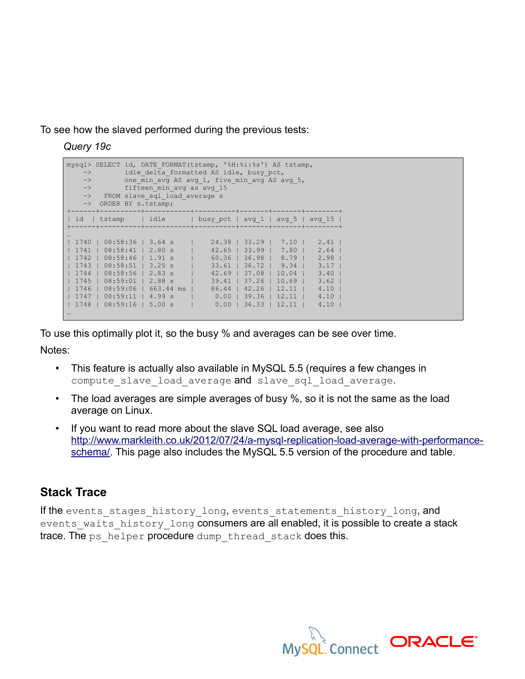To see how the slaved performed during the previous tests:

*Query 19c*

```
mysql> SELECT id, DATE_FORMAT(tstamp, '%H:%i:%s') AS tstamp,
-> idle delta formatted AS idle, busy pct,
\rightarrow one min avg AS avg 1, five min avg AS avg 5,
-> fifteen min avg as avg 15
   -> FROM slave sql load average s
  -> ORDER BY s.tstamp;
+------+----------+-----------+----------+-------+-------+--------+
| id | tstamp | idle | busy_pct | avg_1 | avg_5 | avg_15 |
                            +------+----------+-----------+----------+-------+-------+--------+
…
| 1740 | 08:58:36 | 3.64 s | 24.38 | 33.29 | 7.10 | 2.41 |
| 1741 | 08:58:41 | 2.80 s | 42.65 | 33.99 | 7.80 | 2.64 |
| 1742 | 08:58:46 | 1.91 s | 60.36 | 36.98 | 8.79 | 2.98 |
| 1743 | 08:58:51 | 3.25 s | 33.61 | 36.72 | 9.34 | 3.17 |
| 1744 | 08:58:56 | 2.83 s | 42.69 | 37.08 | 10.04 | 3.40 |
| 1745 | 08:59:01 | 2.88 s | 39.41 | 37.26 | 10.69 | 3.62 |
| 1746 | 08:59:06 | 663.44 ms | 86.44 | 42.26 | 12.11 | 4.10 |
| 1747 | 08:59:11 | 4.99 s | 0.00 | 39.36 | 12.11 | 4.10 |
| 1748 | 08:59:16 | 5.00 s | 0.00 | 36.33 | 12.11 | 4.10 |
…
```
To use this optimally plot it, so the busy % and averages can be see over time.

Notes:

- This feature is actually also available in MySQL 5.5 (requires a few changes in compute slave load average and slave sql load average.
- The load averages are simple averages of busy %, so it is not the same as the load average on Linux.
- If you want to read more about the slave SQL load average, see also [http://www.markleith.co.uk/2012/07/24/a-mysql-replication-load-average-with-performance](http://www.markleith.co.uk/2012/07/24/a-mysql-replication-load-average-with-performance-schema/)schema. This page also includes the MySQL 5.5 version of the procedure and table.

# **Stack Trace**

If the events stages history long, events statements history long, and events waits history long consumers are all enabled, it is possible to create a stack trace. The ps\_helper procedure dump\_thread\_stack does this.